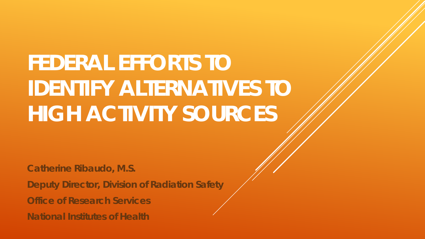# **FEDERAL EFFORTS TO IDENTIFY ALTERNATIVES TO HIGH ACTIVITY SOURCES**

**Catherine Ribaudo, M.S.**

**Deputy Director, Division of Radiation Safety**

**Office of Research Services**

**National Institutes of Health**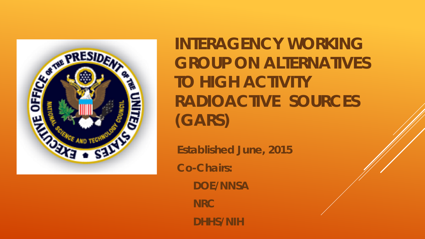

**INTERAGENCY WORKING GROUP ON ALTERNATIVES TO HIGH ACTIVITY RADIOACTIVE SOURCES (GARS)**

**Established June, 2015 Co-Chairs: DOE/NNSA NRC DHHS/NIH**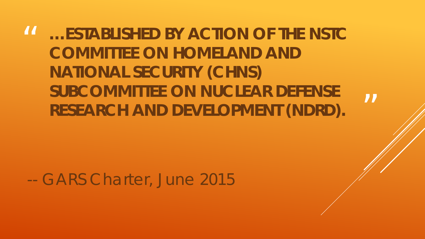# $\boldsymbol{\mathit{II}}$ **…ESTABLISHED BY ACTION OF THE NSTC COMMITTEE ON HOMELAND AND NATIONAL SECURITY (CHNS) SUBCOMMITTEE ON NUCLEAR DEFENSE RESEARCH AND DEVELOPMENT (NDRD).**

-- GARS Charter, June 2015

 $\boldsymbol{\mathsf{II}}$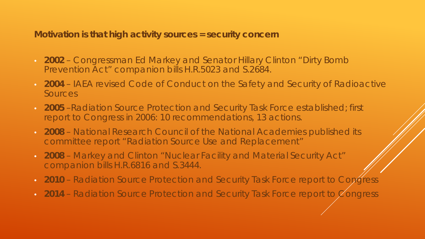**Motivation is that high activity sources = security concern**

- **2002** Congressman Ed Markey and Senator Hillary Clinton "Dirty Bomb Prevention Act" companion bills H.R.5023 and S.2684.
- **2004** IAEA revised Code of Conduct on the Safety and Security of Radioactive **Sources**
- **2005** –Radiation Source Protection and Security Task Force established; first report to Congress in 2006: 10 recommendations, 13 actions.
- **2008** National Research Council of the National Academies published its committee report "Radiation Source Use and Replacement"
- **2008** Markey and Clinton "Nuclear Facility and Material Security Act" companion bills H.R.6816 and S.3444.
- **2010** Radiation Source Protection and Security Task Force report to Congress
- **2014** Radiation Source Protection and Security Task Force report to Congress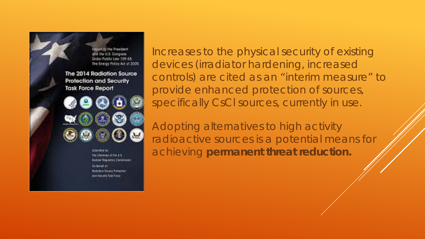

Increases to the physical security of existing devices (irradiator hardening, increased controls) are cited as an "interim measure" to provide enhanced protection of sources, specifically CsCl sources, currently in use.

Adopting alternatives to high activity radioactive sources is a potential means for achieving **permanent threat reduction.**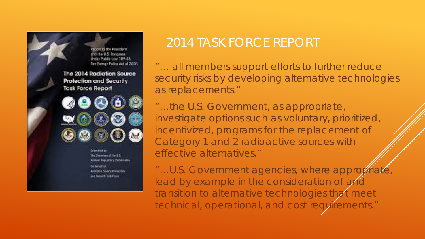

# 2014 TASK FORCE REPORT

"… all members support efforts to further reduce security risks by developing alternative technologies as replacements."

"…the U.S. Government, as appropriate, investigate options such as voluntary, prioritized, incentivized, programs for the replacement of Category 1 and 2 radioactive sources with effective alternatives."

"...U.S. Government agencies, where appropriate, lead by example in the consideration of and transition to alternative technologies that meet technical, operational, and cost requirements."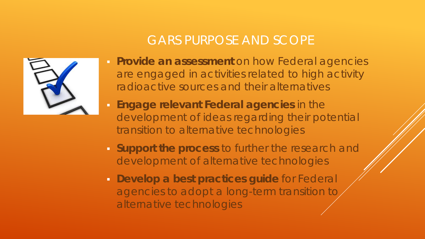# GARS PURPOSE AND SCOPE



- **Provide an assessment** on how Federal agencies are engaged in activities related to high activity radioactive sources and their alternatives
- **Engage relevant Federal agencies** in the development of ideas regarding their potential transition to alternative technologies
- **Support the process** to further the research and development of alternative technologies
- **Develop a best practices guide** for Federal agencies to adopt a long-term transition to alternative technologies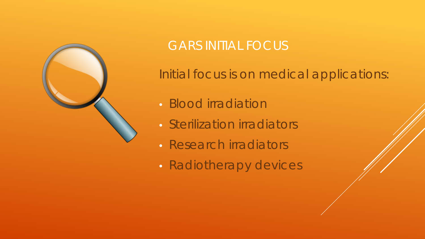

# GARS INITIAL FOCUS

Initial focus is on medical applications:

- Blood irradiation
- Sterilization irradiators
- Research irradiators
- Radiotherapy devices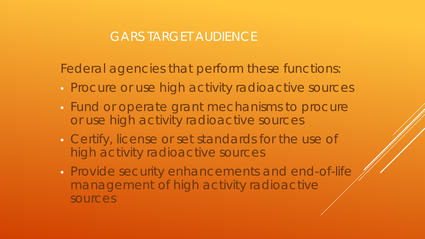## GARS TARGET AUDIENCE

Federal agencies that perform these functions:

- Procure or use high activity radioactive sources
- Fund or operate grant mechanisms to procure or use high activity radioactive sources
- Certify, license or set standards for the use of high activity radioactive sources
- Provide security enhancements and end-of-life management of high activity radioactive sources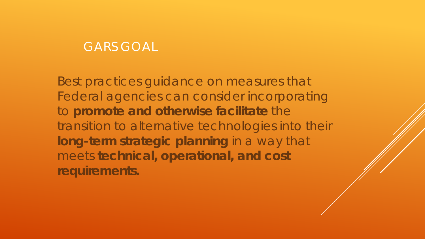#### GARS GOAL

Best practices guidance on measures that Federal agencies can consider incorporating to **promote and otherwise facilitate** the transition to alternative technologies into their **long-term strategic planning** in a way that meets **technical, operational, and cost requirements.**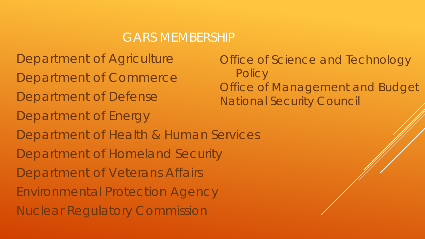#### GARS MEMBERSHIP

Department of Agriculture Department of Commerce Department of Defense Department of Energy Department of Health & Human Services Department of Homeland Security Department of Veterans Affairs Environmental Protection Agency Nuclear Regulatory Commission

Office of Science and Technology **Policy** Office of Management and Budget National Security Council